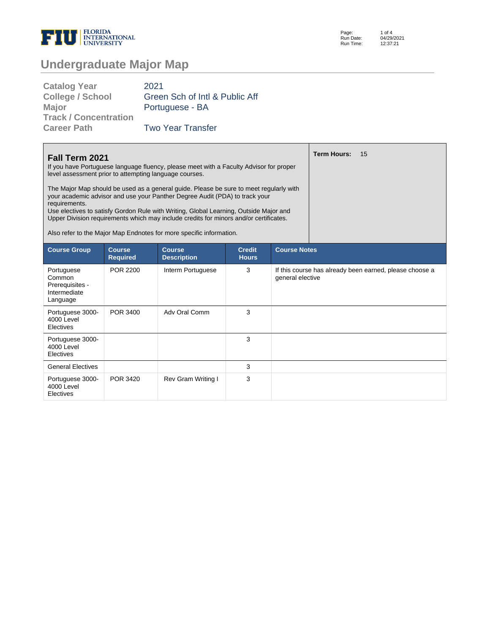

| Page:     | 1 of $4$   |
|-----------|------------|
| Run Date: | 04/29/2021 |
| Run Time: | 12:37:21   |

# **Undergraduate Major Map**

| <b>Catalog Year</b>          | 2021                           |
|------------------------------|--------------------------------|
| <b>College / School</b>      | Green Sch of Intl & Public Aff |
| <b>Major</b>                 | Portuguese - BA                |
| <b>Track / Concentration</b> |                                |
| <b>Career Path</b>           | <b>Two Year Transfer</b>       |

| <b>Fall Term 2021</b><br>If you have Portuguese language fluency, please meet with a Faculty Advisor for proper<br>level assessment prior to attempting language courses.                                                                                                                                                                                                                                                                       |                                  |                                     |                               |                  | <b>Term Hours:</b><br>15                                |  |  |
|-------------------------------------------------------------------------------------------------------------------------------------------------------------------------------------------------------------------------------------------------------------------------------------------------------------------------------------------------------------------------------------------------------------------------------------------------|----------------------------------|-------------------------------------|-------------------------------|------------------|---------------------------------------------------------|--|--|
| The Major Map should be used as a general guide. Please be sure to meet regularly with<br>your academic advisor and use your Panther Degree Audit (PDA) to track your<br>requirements.<br>Use electives to satisfy Gordon Rule with Writing, Global Learning, Outside Major and<br>Upper Division requirements which may include credits for minors and/or certificates.<br>Also refer to the Major Map Endnotes for more specific information. |                                  |                                     |                               |                  |                                                         |  |  |
| <b>Course Group</b>                                                                                                                                                                                                                                                                                                                                                                                                                             | <b>Course</b><br><b>Required</b> | <b>Course</b><br><b>Description</b> | <b>Credit</b><br><b>Hours</b> |                  | <b>Course Notes</b>                                     |  |  |
| Portuguese<br>Common<br>Prerequisites -<br>Intermediate<br>Language                                                                                                                                                                                                                                                                                                                                                                             | POR 2200                         | Interm Portuguese                   | 3                             | general elective | If this course has already been earned, please choose a |  |  |
| Portuguese 3000-<br>4000 Level<br>Electives                                                                                                                                                                                                                                                                                                                                                                                                     | POR 3400                         | Adv Oral Comm                       | 3                             |                  |                                                         |  |  |
| Portuguese 3000-<br>4000 Level<br>Electives                                                                                                                                                                                                                                                                                                                                                                                                     |                                  |                                     | 3                             |                  |                                                         |  |  |
| <b>General Electives</b>                                                                                                                                                                                                                                                                                                                                                                                                                        |                                  |                                     | 3                             |                  |                                                         |  |  |
| Portuguese 3000-<br>4000 Level<br>Electives                                                                                                                                                                                                                                                                                                                                                                                                     | POR 3420                         | <b>Rev Gram Writing I</b>           | 3                             |                  |                                                         |  |  |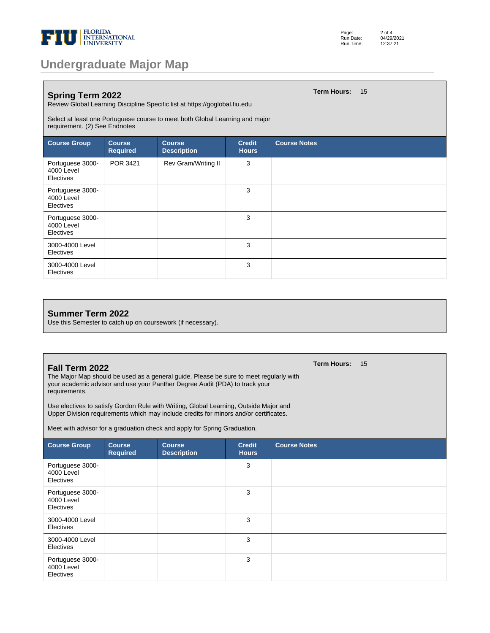

| <b>Undergraduate Major Map</b> |  |
|--------------------------------|--|

| Page:     | $2$ of $4$ |
|-----------|------------|
| Run Date: | 04/29/2021 |
| Run Time: | 12:37:21   |

| <b>Term Hours:</b><br>15<br><b>Spring Term 2022</b><br>Review Global Learning Discipline Specific list at https://goglobal.fiu.edu<br>Select at least one Portuguese course to meet both Global Learning and major<br>requirement. (2) See Endnotes |                                  |                                     |                               |                     |  |  |
|-----------------------------------------------------------------------------------------------------------------------------------------------------------------------------------------------------------------------------------------------------|----------------------------------|-------------------------------------|-------------------------------|---------------------|--|--|
| <b>Course Group</b>                                                                                                                                                                                                                                 | <b>Course</b><br><b>Required</b> | <b>Course</b><br><b>Description</b> | <b>Credit</b><br><b>Hours</b> | <b>Course Notes</b> |  |  |
| Portuguese 3000-<br>4000 Level<br>Electives                                                                                                                                                                                                         | POR 3421                         | Rev Gram/Writing II                 | 3                             |                     |  |  |
| Portuguese 3000-<br>4000 Level<br>Electives                                                                                                                                                                                                         |                                  |                                     | 3                             |                     |  |  |
| Portuguese 3000-<br>4000 Level<br>Electives                                                                                                                                                                                                         |                                  |                                     | 3                             |                     |  |  |
| 3000-4000 Level<br>Electives                                                                                                                                                                                                                        |                                  |                                     | 3                             |                     |  |  |
| 3000-4000 Level<br>Electives                                                                                                                                                                                                                        |                                  |                                     | 3                             |                     |  |  |

#### **Summer Term 2022**

Use this Semester to catch up on coursework (if necessary).

| Fall Term 2022<br>The Major Map should be used as a general guide. Please be sure to meet regularly with<br>your academic advisor and use your Panther Degree Audit (PDA) to track your<br>requirements.<br>Use electives to satisfy Gordon Rule with Writing, Global Learning, Outside Major and<br>Upper Division requirements which may include credits for minors and/or certificates.<br>Meet with advisor for a graduation check and apply for Spring Graduation. |                                  |                                     |                               |                     | <b>Term Hours:</b> | 15 |
|-------------------------------------------------------------------------------------------------------------------------------------------------------------------------------------------------------------------------------------------------------------------------------------------------------------------------------------------------------------------------------------------------------------------------------------------------------------------------|----------------------------------|-------------------------------------|-------------------------------|---------------------|--------------------|----|
| <b>Course Group</b>                                                                                                                                                                                                                                                                                                                                                                                                                                                     | <b>Course</b><br><b>Required</b> | <b>Course</b><br><b>Description</b> | <b>Credit</b><br><b>Hours</b> | <b>Course Notes</b> |                    |    |
| Portuguese 3000-<br>4000 Level<br>Electives                                                                                                                                                                                                                                                                                                                                                                                                                             |                                  |                                     | 3                             |                     |                    |    |
| Portuguese 3000-<br>4000 Level<br>Electives                                                                                                                                                                                                                                                                                                                                                                                                                             |                                  |                                     | 3                             |                     |                    |    |
| 3000-4000 Level<br>Electives                                                                                                                                                                                                                                                                                                                                                                                                                                            |                                  |                                     | 3                             |                     |                    |    |
| 3000-4000 Level<br>Electives                                                                                                                                                                                                                                                                                                                                                                                                                                            |                                  |                                     | 3                             |                     |                    |    |
| Portuguese 3000-<br>4000 Level<br>Electives                                                                                                                                                                                                                                                                                                                                                                                                                             |                                  |                                     | 3                             |                     |                    |    |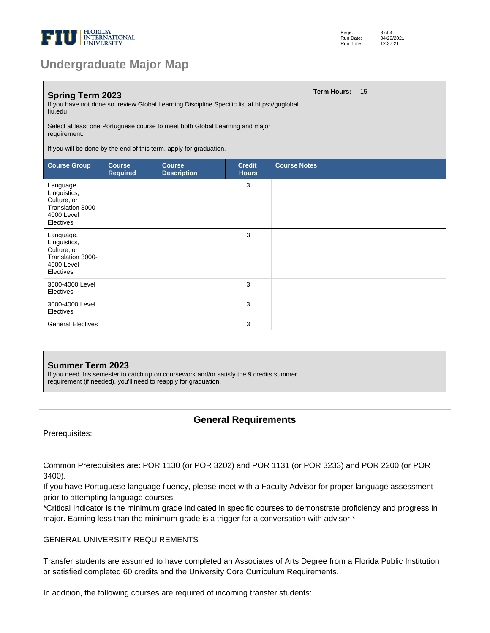

# **Undergraduate Major Map**

| <b>Spring Term 2023</b><br>If you have not done so, review Global Learning Discipline Specific list at https://goglobal.<br>fiu.edu<br>Select at least one Portuguese course to meet both Global Learning and major<br>requirement.<br>If you will be done by the end of this term, apply for graduation. |                                  |                                     |                               |                     | <b>Term Hours:</b> | 15 |
|-----------------------------------------------------------------------------------------------------------------------------------------------------------------------------------------------------------------------------------------------------------------------------------------------------------|----------------------------------|-------------------------------------|-------------------------------|---------------------|--------------------|----|
| <b>Course Group</b>                                                                                                                                                                                                                                                                                       | <b>Course</b><br><b>Required</b> | <b>Course</b><br><b>Description</b> | <b>Credit</b><br><b>Hours</b> | <b>Course Notes</b> |                    |    |
| Language,<br>Linguistics,<br>Culture, or<br>Translation 3000-<br>4000 Level<br>Electives                                                                                                                                                                                                                  |                                  |                                     | 3                             |                     |                    |    |
| Language,<br>Linguistics,<br>Culture, or<br>Translation 3000-<br>4000 Level<br>Electives                                                                                                                                                                                                                  |                                  |                                     | 3                             |                     |                    |    |
| 3000-4000 Level<br>Electives                                                                                                                                                                                                                                                                              |                                  |                                     | 3                             |                     |                    |    |
| 3000-4000 Level<br>Electives                                                                                                                                                                                                                                                                              |                                  |                                     | 3                             |                     |                    |    |
| <b>General Electives</b>                                                                                                                                                                                                                                                                                  |                                  |                                     | 3                             |                     |                    |    |

### **Summer Term 2023** If you need this semester to catch up on coursework and/or satisfy the 9 credits summer requirement (if needed), you'll need to reapply for graduation.

### **General Requirements**

Prerequisites:

Common Prerequisites are: POR 1130 (or POR 3202) and POR 1131 (or POR 3233) and POR 2200 (or POR 3400).

If you have Portuguese language fluency, please meet with a Faculty Advisor for proper language assessment prior to attempting language courses.

\*Critical Indicator is the minimum grade indicated in specific courses to demonstrate proficiency and progress in major. Earning less than the minimum grade is a trigger for a conversation with advisor.\*

#### GENERAL UNIVERSITY REQUIREMENTS

Transfer students are assumed to have completed an Associates of Arts Degree from a Florida Public Institution or satisfied completed 60 credits and the University Core Curriculum Requirements.

In addition, the following courses are required of incoming transfer students: